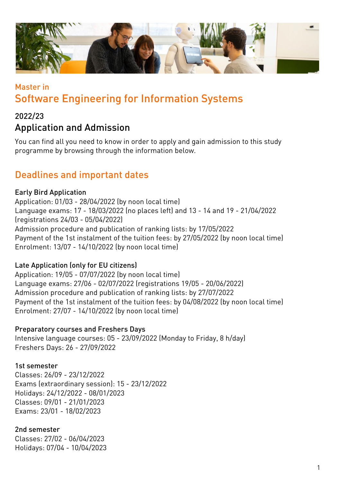

# Master in Software Engineering for Information Systems

### 2022/23 Application and Admission

You can find all you need to know in order to apply and gain admission to this study programme by browsing through the information below.

## Deadlines and important dates

#### Early Bird Application

Application: 01/03 - 28/04/2022 (by noon local time) Language exams: 17 - 18/03/2022 (no places left) and 13 - 14 and 19 - 21/04/2022 (registrations 24/03 - 05/04/2022) Admission procedure and publication of ranking lists: by 17/05/2022 Payment of the 1st instalment of the tuition fees: by 27/05/2022 (by noon local time) Enrolment: 13/07 - 14/10/2022 (by noon local time)

#### Late Application (only for EU citizens)

Application: 19/05 - 07/07/2022 (by noon local time) Language exams: 27/06 - 02/07/2022 (registrations 19/05 - 20/06/2022) Admission procedure and publication of ranking lists: by 27/07/2022 Payment of the 1st instalment of the tuition fees: by 04/08/2022 (by noon local time) Enrolment: 27/07 - 14/10/2022 (by noon local time)

#### Preparatory courses and Freshers Days

Intensive language courses: 05 - 23/09/2022 (Monday to Friday, 8 h/day) Freshers Days: 26 - 27/09/2022

#### 1st semester

Classes: 26/09 - 23/12/2022 Exams (extraordinary session): 15 - 23/12/2022 Holidays: 24/12/2022 - 08/01/2023 Classes: 09/01 - 21/01/2023 Exams: 23/01 - 18/02/2023

#### 2nd semester

Classes: 27/02 - 06/04/2023 Holidays: 07/04 - 10/04/2023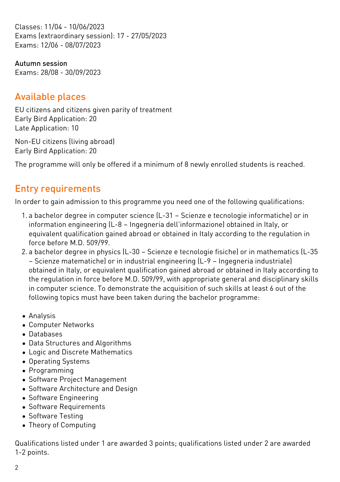Classes: 11/04 - 10/06/2023 Exams (extraordinary session): 17 - 27/05/2023 Exams: 12/06 - 08/07/2023

Autumn session Exams: 28/08 - 30/09/2023

## Available places

EU citizens and citizens given parity of treatment Early Bird Application: 20 Late Application: 10

Non-EU citizens (living abroad) Early Bird Application: 20

The programme will only be offered if a minimum of 8 newly enrolled students is reached.

## Entry requirements

In order to gain admission to this programme you need one of the following qualifications:

- 1. a bachelor degree in computer science (L-31 Scienze e tecnologie informatiche) or in information engineering (L-8 – Ingegneria dell'informazione) obtained in Italy, or equivalent qualification gained abroad or obtained in Italy according to the regulation in force before M.D. 509/99.
- 2. a bachelor degree in physics (L-30 Scienze e tecnologie fisiche) or in mathematics (L-35 – Scienze matematiche) or in industrial engineering (L-9 – Ingegneria industriale) obtained in Italy, or equivalent qualification gained abroad or obtained in Italy according to the regulation in force before M.D. 509/99, with appropriate general and disciplinary skills in computer science. To demonstrate the acquisition of such skills at least 6 out of the following topics must have been taken during the bachelor programme:
- Analysis
- Computer Networks
- Databases
- Data Structures and Algorithms
- Logic and Discrete Mathematics
- Operating Systems
- Programming
- Software Project Management
- Software Architecture and Design
- Software Engineering
- Software Requirements
- Software Testing
- Theory of Computing

Qualifications listed under 1 are awarded 3 points; qualifications listed under 2 are awarded 1-2 points.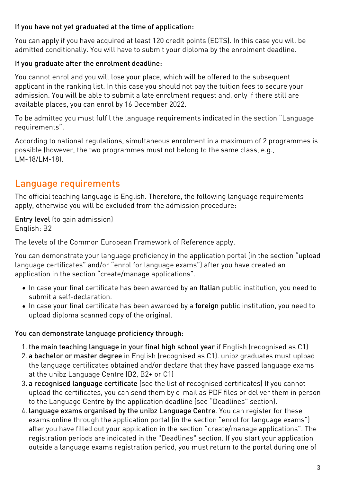#### If you have not yet graduated at the time of application:

You can apply if you have acquired at least 120 credit points (ECTS). In this case you will be admitted conditionally. You will have to submit your diploma by the enrolment deadline.

#### If you graduate after the enrolment deadline:

You cannot enrol and you will lose your place, which will be offered to the subsequent applicant in the ranking list. In this case you should not pay the tuition fees to secure your admission. You will be able to submit a late enrolment request and, only if there still are available places, you can enrol by 16 December 2022.

To be admitted you must fulfil the language requirements indicated in the section "Language requirements".

According to national regulations, simultaneous enrolment in a maximum of 2 programmes is possible (however, the two programmes must not belong to the same class, e.g., LM-18/LM-18).

## Language requirements

The official teaching language is English. Therefore, the following language requirements apply, otherwise you will be excluded from the admission procedure:

Entry level (to gain admission) English: B2

The levels of the Common European Framework of Reference apply.

You can demonstrate your language proficiency in the application portal (in the section "upload language certificates" and/or "enrol for language exams") after you have created an application in the section "create/manage applications".

- In case your final certificate has been awarded by an Italian public institution, you need to submit a self-declaration.
- In case your final certificate has been awarded by a foreign public institution, you need to upload diploma scanned copy of the original.

#### You can demonstrate language proficiency through:

- 1. the main teaching language in your final high school year if English (recognised as C1)
- 2. a bachelor or master degree in English (recognised as C1). unibz graduates must upload the language certificates obtained and/or declare that they have passed language exams at the unibz Language Centre (B2, B2+ or C1)
- 3. a recognised language certificate (see the list of [recognised certificates\)](https://www.unibz.it/en/services/language-centre/study-in-three-languages/) If you cannot upload the certificates, you can send them by e-mail as PDF files or deliver them in person to the Language Centre by the application deadline (see "Deadlines" section).
- 4. language exams organised by the unibz Language Centre. You can register for these exams online through the application portal (in the section "enrol for language exams") after you have filled out your application in the section "create/manage applications". The registration periods are indicated in the "Deadlines" section. If you start your application outside a language exams registration period, you must return to the portal during one of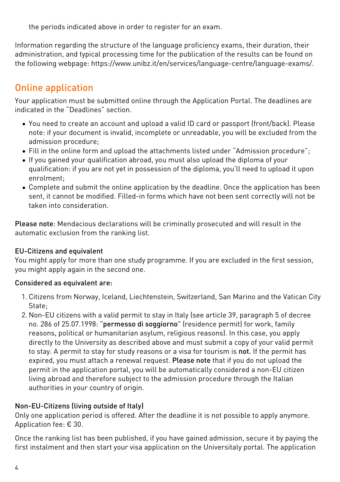the periods indicated above in order to register for an exam.

Information regarding the structure of the language proficiency exams, their duration, their administration, and typical processing time for the publication of the results can be found on the following webpage: [https://www.unibz.it/en/services/language-centre/language-exams/](https://www.unibz.it/it/services/language-centre/language-exams/).

## Online application

Your application must be submitted online through the [Application Portal](https://aws.unibz.it/exup). The deadlines are indicated in the "Deadlines" section.

- You need to create an account and upload a valid ID card or passport (front/back). Please note: if your document is invalid, incomplete or unreadable, you will be excluded from the admission procedure;
- Fill in the online form and upload the attachments listed under "Admission procedure";
- If you gained your qualification abroad, you must also upload the diploma of your qualification: if you are not yet in possession of the diploma, you'll need to upload it upon enrolment;
- Complete and submit the online application by the deadline. Once the application has been sent, it cannot be modified. Filled-in forms which have not been sent correctly will not be taken into consideration.

Please note: Mendacious declarations will be criminally prosecuted and will result in the automatic exclusion from the ranking list.

#### EU-Citizens and equivalent

You might apply for more than one study programme. If you are excluded in the first session, you might apply again in the second one.

#### Considered as equivalent are:

- 1. Citizens from Norway, Iceland, Liechtenstein, Switzerland, San Marino and the Vatican City State;
- 2. Non-EU citizens with a valid permit to stay in Italy (see article 39, paragraph 5 of decree no. 286 of 25.07.1998: "permesso di soggiorno" (residence permit) for work, family reasons, political or humanitarian asylum, religious reasons). In this case, you apply directly to the University as described above and must submit a copy of your valid permit to stay. A permit to stay for study reasons or a visa for tourism is not. If the permit has expired, you must attach a renewal request. Please note that if you do not upload the permit in the application portal, you will be automatically considered a non-EU citizen living abroad and therefore subject to the admission procedure through the Italian authorities in your country of origin.

### Non-EU-Citizens (living outside of Italy)

Only one application period is offered. After the deadline it is not possible to apply anymore. Application fee: € 30.

Once the ranking list has been published, if you have gained admission, secure it by paying the first instalment and then start your visa application on the [Universitaly portal.](https://www.universitaly.it/index.php/) The application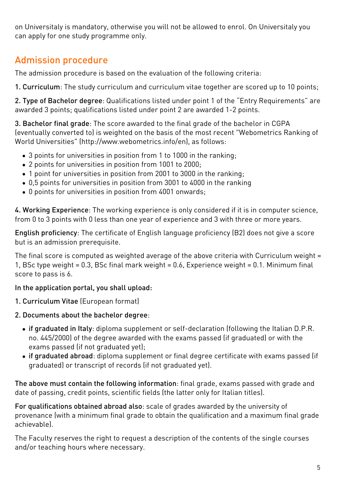on Universitaly is mandatory, otherwise you will not be allowed to enrol. On Universitaly you can apply for one study programme only.

# Admission procedure

The admission procedure is based on the evaluation of the following criteria:

1. Curriculum: The study curriculum and curriculum vitae together are scored up to 10 points;

2. Type of Bachelor degree: Qualifications listed under point 1 of the "Entry Requirements" are awarded 3 points; qualifications listed under point 2 are awarded 1-2 points.

3. Bachelor final grade: The score awarded to the final grade of the bachelor in CGPA (eventually converted to) is weighted on the basis of the most recent "Webometrics Ranking of World Universities" (http://www.webometrics.info/en), as follows:

- 3 points for universities in position from 1 to 1000 in the ranking;
- 2 points for universities in position from 1001 to 2000;
- 1 point for universities in position from 2001 to 3000 in the ranking;
- 0,5 points for universities in position from 3001 to 4000 in the ranking
- 0 points for universities in position from 4001 onwards;

4. Working Experience: The working experience is only considered if it is in computer science, from 0 to 3 points with 0 less than one year of experience and 3 with three or more years.

English proficiency: The certificate of English language proficiency (B2) does not give a score but is an admission prerequisite.

The final score is computed as weighted average of the above criteria with Curriculum weight = 1, BSc type weight = 0.3, BSc final mark weight = 0.6, Experience weight = 0.1. Minimum final score to pass is 6.

#### In the application portal, you shall upload:

- 1. Curriculum Vitae (European format)
- 2. Documents about the bachelor degree:
	- if graduated in Italy: diploma supplement or self-declaration (following the Italian D.P.R. no. 445/2000) of the degree awarded with the exams passed (if graduated) or with the exams passed (if not graduated yet);
	- if graduated abroad: diploma supplement or final degree certificate with exams passed (if graduated) or transcript of records (if not graduated yet).

The above must contain the following information: final grade, exams passed with grade and date of passing, credit points, scientific fields (the latter only for Italian titles).

For qualifications obtained abroad also: scale of grades awarded by the university of provenance (with a minimum final grade to obtain the qualification and a maximum final grade achievable).

The Faculty reserves the right to request a description of the contents of the single courses and/or teaching hours where necessary.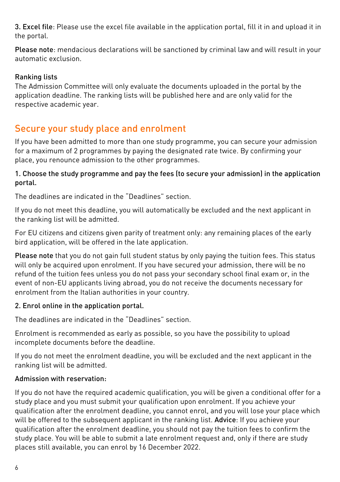3. Excel file: Please use the excel file available in the application portal, fill it in and upload it in the portal.

Please note: mendacious declarations will be sanctioned by criminal law and will result in your automatic exclusion.

#### Ranking lists

The Admission Committee will only evaluate the documents uploaded in the portal by the application deadline. The ranking lists will be published [here](https://www.unibz.it/en/applicants/ranking-lists/?stage=Stage) and are only valid for the respective academic year.

### Secure your study place and enrolment

If you have been admitted to more than one study programme, you can secure your admission for a maximum of 2 programmes by paying the designated rate twice. By confirming your place, you renounce admission to the other programmes.

#### 1. Choose the study programme and pay the fees (to secure your admission) in the application portal.

The deadlines are indicated in the "Deadlines" section.

If you do not meet this deadline, you will automatically be excluded and the next applicant in the ranking list will be admitted.

For EU citizens and citizens given parity of treatment only: any remaining places of the early bird application, will be offered in the late application.

Please note that you do not gain full student status by only paying the tuition fees. This status will only be acquired upon enrolment. If you have secured your admission, there will be no refund of the tuition fees unless you do not pass your secondary school final exam or, in the event of non-EU applicants living abroad, you do not receive the documents necessary for enrolment from the Italian authorities in your country.

#### 2. Enrol online in the application portal.

The deadlines are indicated in the "Deadlines" section.

Enrolment is recommended as early as possible, so you have the possibility to upload incomplete documents before the deadline.

If you do not meet the enrolment deadline, you will be excluded and the next applicant in the ranking list will be admitted.

#### Admission with reservation:

If you do not have the required academic qualification, you will be given a conditional offer for a study place and you must submit your qualification upon enrolment. If you achieve your qualification after the enrolment deadline, you cannot enrol, and you will lose your place which will be offered to the subsequent applicant in the ranking list. Advice: If you achieve your qualification after the enrolment deadline, you should not pay the tuition fees to confirm the study place. You will be able to submit a late enrolment request and, only if there are study places still available, you can enrol by 16 December 2022.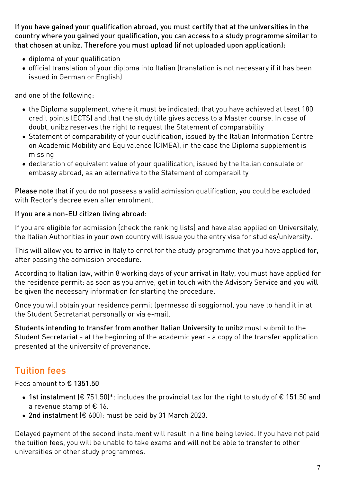If you have gained your qualification abroad, you must certify that at the universities in the country where you gained your qualification, you can access to a study programme similar to that chosen at unibz. Therefore you must upload (if not uploaded upon application):

- diploma of your qualification
- official translation of your diploma into Italian (translation is not necessary if it has been issued in German or English)

and one of the following:

- the Diploma supplement, where it must be indicated: that you have achieved at least 180 credit points (ECTS) and that the study title gives access to a Master course. In case of doubt, unibz reserves the right to request the Statement of comparability
- [Statement of comparability](https://www.cimea.it/EN/pagina-attestati-di-comparabilita-e-verifica-dei-titoli) of your qualification, issued by the Italian Information Centre on Academic Mobility and Equivalence (CIMEA), in the case the Diploma supplement is missing
- declaration of equivalent value of your qualification, issued by the Italian consulate or embassy abroad, as an alternative to the Statement of comparability

Please note that if you do not possess a valid admission qualification, you could be excluded with Rector's decree even after enrolment.

#### If you are a non-EU citizen living abroad:

If you are eligible for admission (check the ranking lists) and have also applied on [Universitaly](https://www.universitaly.it/index.php/), the Italian Authorities in your own country will issue you the entry visa for studies/university.

This will allow you to arrive in Italy to enrol for the study programme that you have applied for, after passing the admission procedure.

According to Italian law, within 8 working days of your arrival in Italy, you must have applied for the residence permit: as soon as you arrive, get in touch with the Advisory Service and you will be given the necessary information for starting the procedure.

Once you will obtain your residence permit (permesso di soggiorno), you have to hand it in at the Student Secretariat personally or via e-mail.

Students intending to transfer from another Italian University to unibz must submit to the Student Secretariat - at the beginning of the academic year - a copy of the transfer application presented at the university of provenance.

# Tuition fees

Fees amount to € 1351.50

- 1st instalment (€ 751.50)\*: includes the provincial tax for the right to study of € 151.50 and a revenue stamp of € 16.
- 2nd instalment (€ 600): must be paid by 31 March 2023.

Delayed payment of the second instalment will result in a fine being levied. If you have not paid the tuition fees, you will be unable to take exams and will not be able to transfer to other universities or other study programmes.